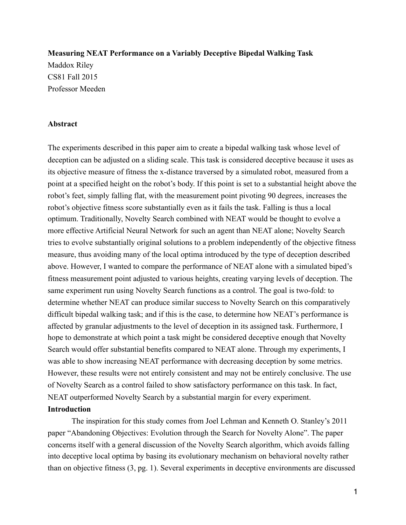**Measuring NEAT Performance on a Variably Deceptive Bipedal Walking Task**  Maddox Riley CS81 Fall 2015 Professor Meeden

### **Abstract**

The experiments described in this paper aim to create a bipedal walking task whose level of deception can be adjusted on a sliding scale. This task is considered deceptive because it uses as its objective measure of fitness the x-distance traversed by a simulated robot, measured from a point at a specified height on the robot's body. If this point is set to a substantial height above the robot's feet, simply falling flat, with the measurement point pivoting 90 degrees, increases the robot's objective fitness score substantially even as it fails the task. Falling is thus a local optimum. Traditionally, Novelty Search combined with NEAT would be thought to evolve a more effective Artificial Neural Network for such an agent than NEAT alone; Novelty Search tries to evolve substantially original solutions to a problem independently of the objective fitness measure, thus avoiding many of the local optima introduced by the type of deception described above. However, I wanted to compare the performance of NEAT alone with a simulated biped's fitness measurement point adjusted to various heights, creating varying levels of deception. The same experiment run using Novelty Search functions as a control. The goal is two-fold: to determine whether NEAT can produce similar success to Novelty Search on this comparatively difficult bipedal walking task; and if this is the case, to determine how NEAT's performance is affected by granular adjustments to the level of deception in its assigned task. Furthermore, I hope to demonstrate at which point a task might be considered deceptive enough that Novelty Search would offer substantial benefits compared to NEAT alone. Through my experiments, I was able to show increasing NEAT performance with decreasing deception by some metrics. However, these results were not entirely consistent and may not be entirely conclusive. The use of Novelty Search as a control failed to show satisfactory performance on this task. In fact, NEAT outperformed Novelty Search by a substantial margin for every experiment. **Introduction** 

 The inspiration for this study comes from Joel Lehman and Kenneth O. Stanley's 2011 paper "Abandoning Objectives: Evolution through the Search for Novelty Alone". The paper concerns itself with a general discussion of the Novelty Search algorithm, which avoids falling into deceptive local optima by basing its evolutionary mechanism on behavioral novelty rather than on objective fitness (3, pg. 1). Several experiments in deceptive environments are discussed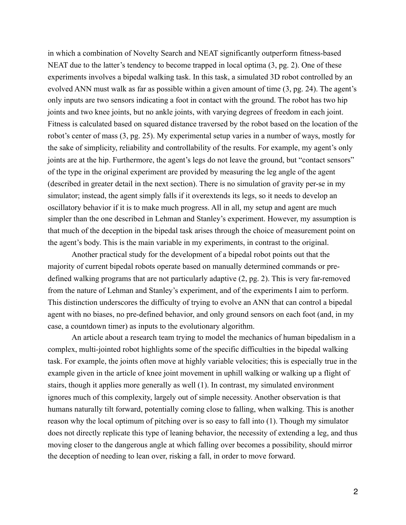in which a combination of Novelty Search and NEAT significantly outperform fitness-based NEAT due to the latter's tendency to become trapped in local optima (3, pg. 2). One of these experiments involves a bipedal walking task. In this task, a simulated 3D robot controlled by an evolved ANN must walk as far as possible within a given amount of time (3, pg. 24). The agent's only inputs are two sensors indicating a foot in contact with the ground. The robot has two hip joints and two knee joints, but no ankle joints, with varying degrees of freedom in each joint. Fitness is calculated based on squared distance traversed by the robot based on the location of the robot's center of mass (3, pg. 25). My experimental setup varies in a number of ways, mostly for the sake of simplicity, reliability and controllability of the results. For example, my agent's only joints are at the hip. Furthermore, the agent's legs do not leave the ground, but "contact sensors" of the type in the original experiment are provided by measuring the leg angle of the agent (described in greater detail in the next section). There is no simulation of gravity per-se in my simulator; instead, the agent simply falls if it overextends its legs, so it needs to develop an oscillatory behavior if it is to make much progress. All in all, my setup and agent are much simpler than the one described in Lehman and Stanley's experiment. However, my assumption is that much of the deception in the bipedal task arises through the choice of measurement point on the agent's body. This is the main variable in my experiments, in contrast to the original.

 Another practical study for the development of a bipedal robot points out that the majority of current bipedal robots operate based on manually determined commands or predefined walking programs that are not particularly adaptive (2, pg. 2). This is very far-removed from the nature of Lehman and Stanley's experiment, and of the experiments I aim to perform. This distinction underscores the difficulty of trying to evolve an ANN that can control a bipedal agent with no biases, no pre-defined behavior, and only ground sensors on each foot (and, in my case, a countdown timer) as inputs to the evolutionary algorithm.

 An article about a research team trying to model the mechanics of human bipedalism in a complex, multi-jointed robot highlights some of the specific difficulties in the bipedal walking task. For example, the joints often move at highly variable velocities; this is especially true in the example given in the article of knee joint movement in uphill walking or walking up a flight of stairs, though it applies more generally as well (1). In contrast, my simulated environment ignores much of this complexity, largely out of simple necessity. Another observation is that humans naturally tilt forward, potentially coming close to falling, when walking. This is another reason why the local optimum of pitching over is so easy to fall into (1). Though my simulator does not directly replicate this type of leaning behavior, the necessity of extending a leg, and thus moving closer to the dangerous angle at which falling over becomes a possibility, should mirror the deception of needing to lean over, risking a fall, in order to move forward.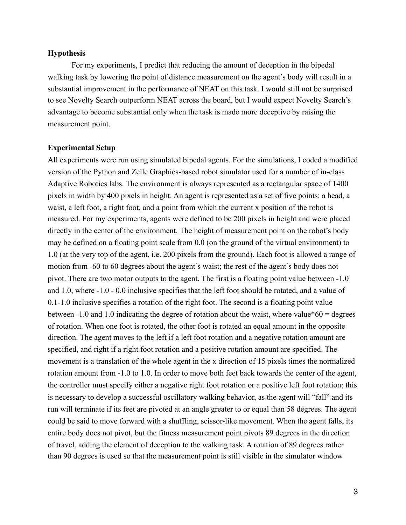### **Hypothesis**

 For my experiments, I predict that reducing the amount of deception in the bipedal walking task by lowering the point of distance measurement on the agent's body will result in a substantial improvement in the performance of NEAT on this task. I would still not be surprised to see Novelty Search outperform NEAT across the board, but I would expect Novelty Search's advantage to become substantial only when the task is made more deceptive by raising the measurement point.

### **Experimental Setup**

All experiments were run using simulated bipedal agents. For the simulations, I coded a modified version of the Python and Zelle Graphics-based robot simulator used for a number of in-class Adaptive Robotics labs. The environment is always represented as a rectangular space of 1400 pixels in width by 400 pixels in height. An agent is represented as a set of five points: a head, a waist, a left foot, a right foot, and a point from which the current x position of the robot is measured. For my experiments, agents were defined to be 200 pixels in height and were placed directly in the center of the environment. The height of measurement point on the robot's body may be defined on a floating point scale from 0.0 (on the ground of the virtual environment) to 1.0 (at the very top of the agent, i.e. 200 pixels from the ground). Each foot is allowed a range of motion from -60 to 60 degrees about the agent's waist; the rest of the agent's body does not pivot. There are two motor outputs to the agent. The first is a floating point value between -1.0 and 1.0, where -1.0 - 0.0 inclusive specifies that the left foot should be rotated, and a value of 0.1-1.0 inclusive specifies a rotation of the right foot. The second is a floating point value between  $-1.0$  and 1.0 indicating the degree of rotation about the waist, where value\*60 = degrees of rotation. When one foot is rotated, the other foot is rotated an equal amount in the opposite direction. The agent moves to the left if a left foot rotation and a negative rotation amount are specified, and right if a right foot rotation and a positive rotation amount are specified. The movement is a translation of the whole agent in the x direction of 15 pixels times the normalized rotation amount from -1.0 to 1.0. In order to move both feet back towards the center of the agent, the controller must specify either a negative right foot rotation or a positive left foot rotation; this is necessary to develop a successful oscillatory walking behavior, as the agent will "fall" and its run will terminate if its feet are pivoted at an angle greater to or equal than 58 degrees. The agent could be said to move forward with a shuffling, scissor-like movement. When the agent falls, its entire body does not pivot, but the fitness measurement point pivots 89 degrees in the direction of travel, adding the element of deception to the walking task. A rotation of 89 degrees rather than 90 degrees is used so that the measurement point is still visible in the simulator window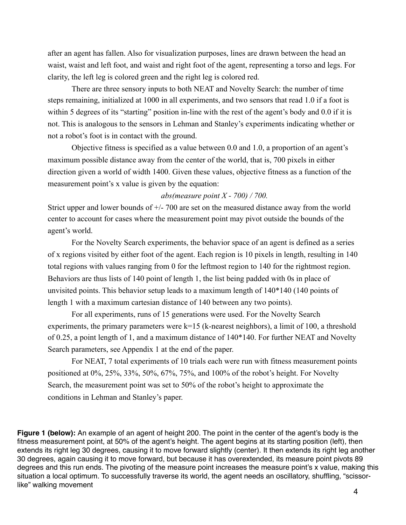after an agent has fallen. Also for visualization purposes, lines are drawn between the head an waist, waist and left foot, and waist and right foot of the agent, representing a torso and legs. For clarity, the left leg is colored green and the right leg is colored red.

 There are three sensory inputs to both NEAT and Novelty Search: the number of time steps remaining, initialized at 1000 in all experiments, and two sensors that read 1.0 if a foot is within 5 degrees of its "starting" position in-line with the rest of the agent's body and 0.0 if it is not. This is analogous to the sensors in Lehman and Stanley's experiments indicating whether or not a robot's foot is in contact with the ground.

 Objective fitness is specified as a value between 0.0 and 1.0, a proportion of an agent's maximum possible distance away from the center of the world, that is, 700 pixels in either direction given a world of width 1400. Given these values, objective fitness as a function of the measurement point's x value is given by the equation:

#### *abs(measure point X - 700) / 700.*

Strict upper and lower bounds of +/- 700 are set on the measured distance away from the world center to account for cases where the measurement point may pivot outside the bounds of the agent's world.

 For the Novelty Search experiments, the behavior space of an agent is defined as a series of x regions visited by either foot of the agent. Each region is 10 pixels in length, resulting in 140 total regions with values ranging from 0 for the leftmost region to 140 for the rightmost region. Behaviors are thus lists of 140 point of length 1, the list being padded with 0s in place of unvisited points. This behavior setup leads to a maximum length of 140\*140 (140 points of length 1 with a maximum cartesian distance of 140 between any two points).

 For all experiments, runs of 15 generations were used. For the Novelty Search experiments, the primary parameters were  $k=15$  (k-nearest neighbors), a limit of 100, a threshold of 0.25, a point length of 1, and a maximum distance of 140\*140. For further NEAT and Novelty Search parameters, see Appendix 1 at the end of the paper.

 For NEAT, 7 total experiments of 10 trials each were run with fitness measurement points positioned at 0%, 25%, 33%, 50%, 67%, 75%, and 100% of the robot's height. For Novelty Search, the measurement point was set to 50% of the robot's height to approximate the conditions in Lehman and Stanley's paper.

**Figure 1 (below):** An example of an agent of height 200. The point in the center of the agent's body is the fitness measurement point, at 50% of the agent's height. The agent begins at its starting position (left), then extends its right leg 30 degrees, causing it to move forward slightly (center). It then extends its right leg another 30 degrees, again causing it to move forward, but because it has overextended, its measure point pivots 89 degrees and this run ends. The pivoting of the measure point increases the measure point's x value, making this situation a local optimum. To successfully traverse its world, the agent needs an oscillatory, shuffling, "scissorlike" walking movement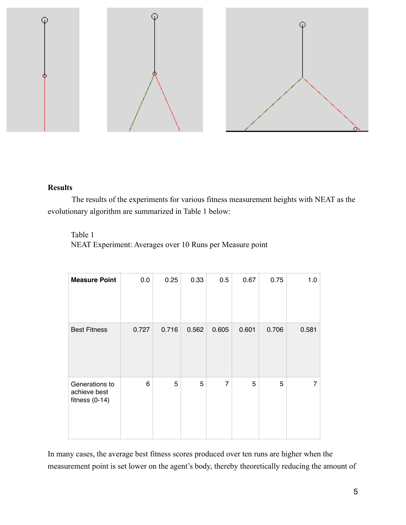

# **Results**

The results of the experiments for various fitness measurement heights with NEAT as the evolutionary algorithm are summarized in Table 1 below:

# Table 1

NEAT Experiment: Averages over 10 Runs per Measure point

| <b>Measure Point</b>                               | 0.0   | 0.25  | 0.33  | 0.5            | 0.67  | 0.75  | 1.0   |
|----------------------------------------------------|-------|-------|-------|----------------|-------|-------|-------|
| <b>Best Fitness</b>                                | 0.727 | 0.716 | 0.562 | 0.605          | 0.601 | 0.706 | 0.581 |
| Generations to<br>achieve best<br>fitness $(0-14)$ | 6     | 5     | 5     | $\overline{7}$ | 5     | 5     | 7     |

In many cases, the average best fitness scores produced over ten runs are higher when the measurement point is set lower on the agent's body, thereby theoretically reducing the amount of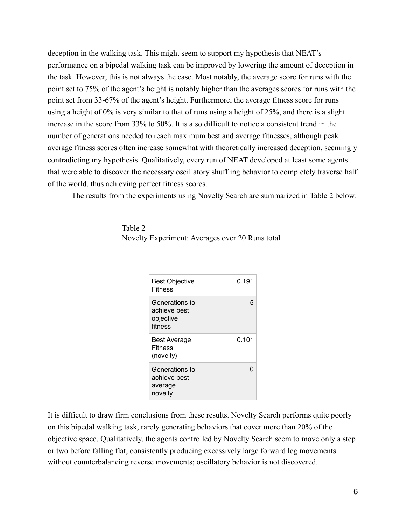deception in the walking task. This might seem to support my hypothesis that NEAT's performance on a bipedal walking task can be improved by lowering the amount of deception in the task. However, this is not always the case. Most notably, the average score for runs with the point set to 75% of the agent's height is notably higher than the averages scores for runs with the point set from 33-67% of the agent's height. Furthermore, the average fitness score for runs using a height of 0% is very similar to that of runs using a height of 25%, and there is a slight increase in the score from 33% to 50%. It is also difficult to notice a consistent trend in the number of generations needed to reach maximum best and average fitnesses, although peak average fitness scores often increase somewhat with theoretically increased deception, seemingly contradicting my hypothesis. Qualitatively, every run of NEAT developed at least some agents that were able to discover the necessary oscillatory shuffling behavior to completely traverse half of the world, thus achieving perfect fitness scores.

The results from the experiments using Novelty Search are summarized in Table 2 below:

## Table 2

Novelty Experiment: Averages over 20 Runs total

| <b>Best Objective</b><br><b>Fitness</b>                | 0.191 |
|--------------------------------------------------------|-------|
| Generations to<br>achieve best<br>objective<br>fitness | 5     |
| Best Average<br>Fitness<br>(novelty)                   | 0.101 |
| Generations to<br>achieve best<br>average<br>novelty   |       |

It is difficult to draw firm conclusions from these results. Novelty Search performs quite poorly on this bipedal walking task, rarely generating behaviors that cover more than 20% of the objective space. Qualitatively, the agents controlled by Novelty Search seem to move only a step or two before falling flat, consistently producing excessively large forward leg movements without counterbalancing reverse movements; oscillatory behavior is not discovered.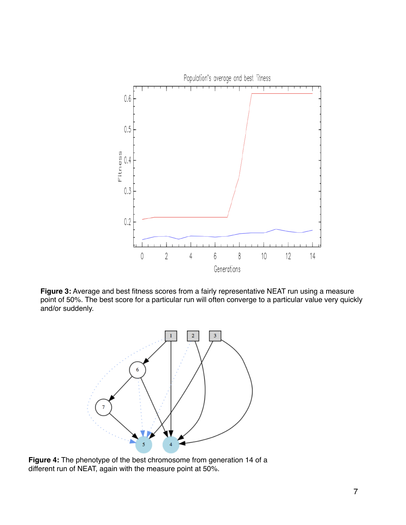

**Figure 3:** Average and best fitness scores from a fairly representative NEAT run using a measure point of 50%. The best score for a particular run will often converge to a particular value very quickly and/or suddenly.



**Figure 4:** The phenotype of the best chromosome from generation 14 of a different run of NEAT, again with the measure point at 50%.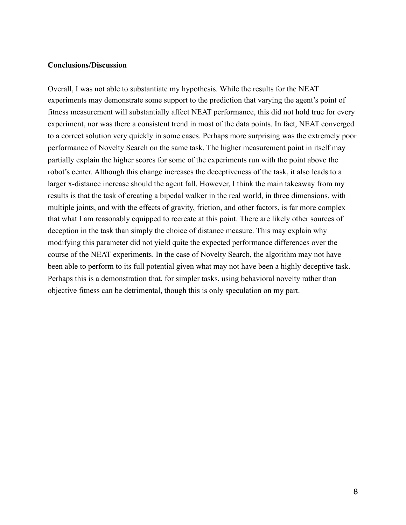### **Conclusions/Discussion**

Overall, I was not able to substantiate my hypothesis. While the results for the NEAT experiments may demonstrate some support to the prediction that varying the agent's point of fitness measurement will substantially affect NEAT performance, this did not hold true for every experiment, nor was there a consistent trend in most of the data points. In fact, NEAT converged to a correct solution very quickly in some cases. Perhaps more surprising was the extremely poor performance of Novelty Search on the same task. The higher measurement point in itself may partially explain the higher scores for some of the experiments run with the point above the robot's center. Although this change increases the deceptiveness of the task, it also leads to a larger x-distance increase should the agent fall. However, I think the main takeaway from my results is that the task of creating a bipedal walker in the real world, in three dimensions, with multiple joints, and with the effects of gravity, friction, and other factors, is far more complex that what I am reasonably equipped to recreate at this point. There are likely other sources of deception in the task than simply the choice of distance measure. This may explain why modifying this parameter did not yield quite the expected performance differences over the course of the NEAT experiments. In the case of Novelty Search, the algorithm may not have been able to perform to its full potential given what may not have been a highly deceptive task. Perhaps this is a demonstration that, for simpler tasks, using behavioral novelty rather than objective fitness can be detrimental, though this is only speculation on my part.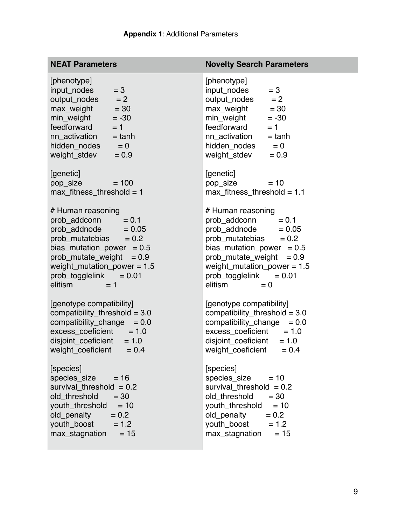| <b>NEAT Parameters</b>                                                                                                                                                                                                                              | <b>Novelty Search Parameters</b>                                                                                                                                                                                                                       |  |  |  |
|-----------------------------------------------------------------------------------------------------------------------------------------------------------------------------------------------------------------------------------------------------|--------------------------------------------------------------------------------------------------------------------------------------------------------------------------------------------------------------------------------------------------------|--|--|--|
| [phenotype]<br>$= 3$<br>input_nodes<br>$output\_nodes$ = 2<br>$max\_weight$ = 30<br>min_weight<br>$= -30$<br>feedforward<br>$= 1$<br>$nn\_activation = tanh$<br>$hidden\_nodes$ = 0<br>weight_stdev<br>$= 0.9$                                      | [phenotype]<br>input_nodes<br>$= 3$<br>$output\_nodes$ = 2<br>$max\_weight$ = 30<br>min_weight<br>$= -30$<br>feedforward<br>$= 1$<br>nn_activation<br>$=$ tanh<br>$hidden\_nodes$ = 0<br>weight_stdev<br>$= 0.9$                                       |  |  |  |
| [genetic]<br>pop_size<br>$= 100$<br>$max_$ fitness_threshold = 1                                                                                                                                                                                    | [genetic]<br>pop_size<br>$= 10$<br>$max_{i}$ fitness_threshold = 1.1                                                                                                                                                                                   |  |  |  |
| # Human reasoning<br>prob_addconn<br>$= 0.1$<br>$prob\_addnode$ = 0.05<br>prob mutatebias $= 0.2$<br>bias mutation power $= 0.5$<br>$prob\_mutate\_weight = 0.9$<br>weight_mutation_power = $1.5$<br>$prob\_togg$ lelink = 0.01<br>elitism<br>$= 1$ | # Human reasoning<br>prob_addconn<br>$= 0.1$<br>prob_addnode<br>$= 0.05$<br>prob_mutatebias $= 0.2$<br>bias_mutation_power = $0.5$<br>$prob\_mutate\_weight = 0.9$<br>weight_mutation_power = $1.5$<br>prob_togglelink<br>$= 0.01$<br>elitism<br>$= 0$ |  |  |  |
| [genotype compatibility]<br>compatibility_threshold = $3.0$<br>$compatibility\_change = 0.0$<br>$excess coefficient = 1.0$<br>$disjoint\_coeficient = 1.0$<br>weight_coeficient $= 0.4$                                                             | [genotype compatibility]<br>compatibility_threshold = $3.0$<br>compatibility_change<br>$= 0.0$<br>$excess\_coeficient = 1.0$<br>$disjoint\_coeficient = 1.0$<br>weight_coeficient $= 0.4$                                                              |  |  |  |
| [species]<br>species_size<br>$= 16$<br>survival_threshold $= 0.2$<br>old threshold<br>$= 30$<br>youth_threshold<br>$= 10$<br>old_penalty<br>$= 0.2$<br>youth_boost<br>$= 1.2$<br>max_stagnation<br>$= 15$                                           | [species]<br>species_size<br>$= 10$<br>survival_threshold $= 0.2$<br>old_threshold<br>$= 30$<br>youth_threshold<br>$= 10$<br>old_penalty<br>$= 0.2$<br>youth_boost<br>$= 1.2$<br>max_stagnation<br>$= 15$                                              |  |  |  |